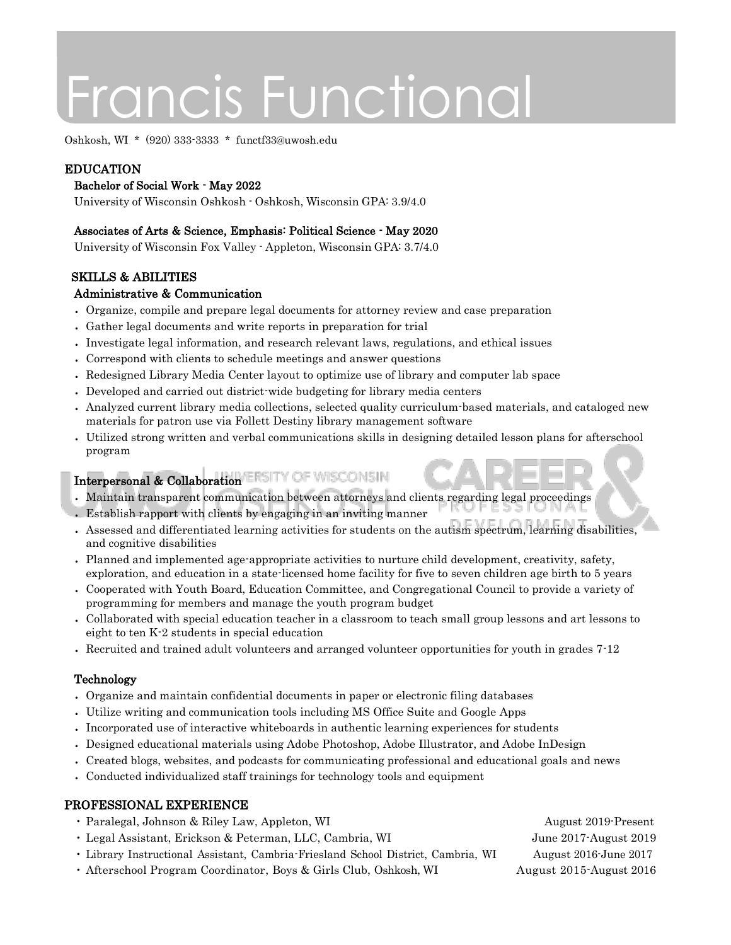# Francis Functional

Oshkosh, WI \* (920) 333-3333 \* functf33@uwosh.edu

# EDUCATION

#### Bachelor of Social Work - May 2022

University of Wisconsin Oshkosh - Oshkosh, Wisconsin GPA: 3.9/4.0

#### Associates of Arts & Science, Emphasis: Political Science - May 2020

University of Wisconsin Fox Valley - Appleton, Wisconsin GPA: 3.7/4.0

# SKILLS & ABILITIES

#### Administrative & Communication

- Organize, compile and prepare legal documents for attorney review and case preparation
- Gather legal documents and write reports in preparation for trial
- Investigate legal information, and research relevant laws, regulations, and ethical issues
- Correspond with clients to schedule meetings and answer questions
- Redesigned Library Media Center layout to optimize use of library and computer lab space
- Developed and carried out district-wide budgeting for library media centers
- Analyzed current library media collections, selected quality curriculum-based materials, and cataloged new materials for patron use via Follett Destiny library management software
- Utilized strong written and verbal communications skills in designing detailed lesson plans for afterschool program

# Interpersonal & Collaboration ERSITY OF WISCONSIN

- Maintain transparent communication between attorneys and clients regarding legal proceedings
- Establish rapport with clients by engaging in an inviting manner
- Assessed and differentiated learning activities for students on the autism spectrum, learning disabilities, and cognitive disabilities
- Planned and implemented age-appropriate activities to nurture child development, creativity, safety, exploration, and education in a state-licensed home facility for five to seven children age birth to 5 years
- Cooperated with Youth Board, Education Committee, and Congregational Council to provide a variety of programming for members and manage the youth program budget
- Collaborated with special education teacher in a classroom to teach small group lessons and art lessons to eight to ten K-2 students in special education
- Recruited and trained adult volunteers and arranged volunteer opportunities for youth in grades 7-12

# Technology

- Organize and maintain confidential documents in paper or electronic filing databases
- Utilize writing and communication tools including MS Office Suite and Google Apps
- Incorporated use of interactive whiteboards in authentic learning experiences for students
- Designed educational materials using Adobe Photoshop, Adobe Illustrator, and Adobe InDesign
- Created blogs, websites, and podcasts for communicating professional and educational goals and news
- Conducted individualized staff trainings for technology tools and equipment

# PROFESSIONAL EXPERIENCE

- Paralegal, Johnson & Riley Law, Appleton, WI August 2019-Present
- Legal Assistant, Erickson & Peterman, LLC, Cambria, WI June 2017-August 2019
- Library Instructional Assistant, Cambria-Friesland School District, Cambria, WI August 2016-June 2017
- 
- Afterschool Program Coordinator, Boys & Girls Club, Oshkosh, WI August 2015-August 2016